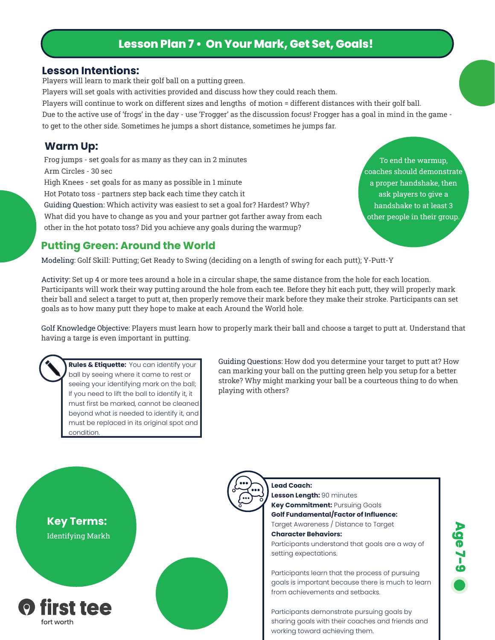## **Lesson Plan 7 • On Your Mark, Get Set, Goals!**

#### **Lesson Intentions:**

Players will learn to mark their golf ball on a putting green.

Players will set goals with activities provided and discuss how they could reach them.

Players will continue to work on different sizes and lengths of motion = different distances with their golf ball.

Due to the active use of 'frogs' in the day - use 'Frogger' as the discussion focus! Frogger has a goal in mind in the game to get to the other side. Sometimes he jumps a short distance, sometimes he jumps far.

#### **Warm Up:**

Frog jumps - set goals for as many as they can in 2 minutes Arm Circles - 30 sec High Knees - set goals for as many as possible in 1 minute Hot Potato toss - partners step back each time they catch it Guiding Question: Which activity was easiest to set a goal for? Hardest? Why? What did you have to change as you and your partner got farther away from each other in the hot potato toss? Did you achieve any goals during the warmup?

To end the warmup, coaches should demonstrate a proper handshake, then ask players to give a handshake to at least 3 other people in their group.

### **Putting Green: Around the World**

Modeling: Golf Skill: Putting; Get Ready to Swing (deciding on a length of swing for each putt); Y-Putt-Y

Activity: Set up 4 or more tees around a hole in a circular shape, the same distance from the hole for each location. Participants will work their way putting around the hole from each tee. Before they hit each putt, they will properly mark their ball and select a target to putt at, then properly remove their mark before they make their stroke. Participants can set goals as to how many putt they hope to make at each Around the World hole.

Golf Knowledge Objective: Players must learn how to properly mark their ball and choose a target to putt at. Understand that having a targe is even important in putting.

**Rules & Etiquette:** You can identify your ball by seeing where it came to rest or seeing your identifying mark on the ball; If you need to lift the ball to identify it, it must first be marked, cannot be cleaned beyond what is needed to identify it, and must be replaced in its original spot and condition.

Guiding Questions: How dod you determine your target to putt at? How can marking your ball on the putting green help you setup for a better stroke? Why might marking your ball be a courteous thing to do when playing with others?